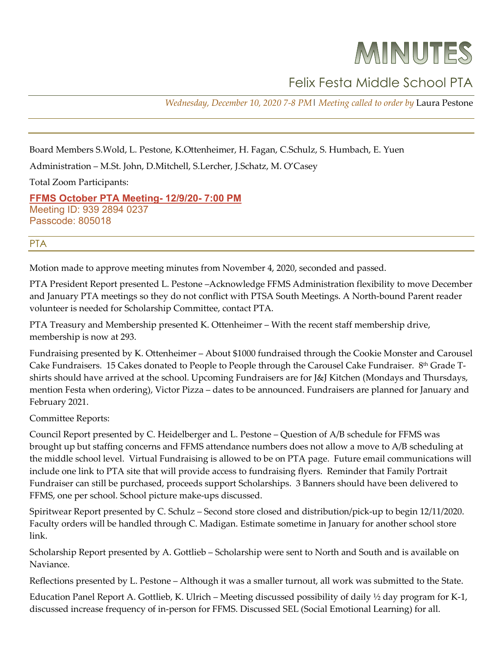# MINUTES

## Felix Festa Middle School PTA

*Wednesday, December 10, 2020 7-8 PM*| *Meeting called to order by* Laura Pestone

Board Members S.Wold, L. Pestone, K.Ottenheimer, H. Fagan, C.Schulz, S. Humbach, E. Yuen

Administration – M.St. John, D.Mitchell, S.Lercher, J.Schatz, M. O'Casey

Total Zoom Participants:

**[FFMS October PTA Meeting-](http://r20.rs6.net/tn.jsp?f=001MKIPy9d8ZvhlO7VcYDZFxP3fne-x0Nt-EzBYC2IqlMR_obq8wIoOaOuvsr4sz7fTJytt6FZAuYxGrZtp210m_uPjZEzZie-Q0sqeMfnpNdyCjMLxitSKzJFVqwYFXnsZybozYZQ35vhw0yYvlOVfr-d-CoKquxZnlEnojYsuQw5mbjua535oKYSvsrQAYmTdyTP_49JGvlOOo7dW4tsuEQ==&c=l70v4S2n4MSUjHPfuZKk1GadBJoqoRFLcH43WmiKiCHsdr7UQ_SE0A==&ch=sefARsSLxhdBYkb1G-gWrh96_jsSWEmwTO-ujWPWmLLCra6pL5Vdmw==) 12/9/20- 7:00 PM** Meeting ID: 939 2894 0237 Passcode: 805018

#### PTA

Motion made to approve meeting minutes from November 4, 2020, seconded and passed.

PTA President Report presented L. Pestone –Acknowledge FFMS Administration flexibility to move December and January PTA meetings so they do not conflict with PTSA South Meetings. A North-bound Parent reader volunteer is needed for Scholarship Committee, contact PTA.

PTA Treasury and Membership presented K. Ottenheimer – With the recent staff membership drive, membership is now at 293.

Fundraising presented by K. Ottenheimer – About \$1000 fundraised through the Cookie Monster and Carousel Cake Fundraisers. 15 Cakes donated to People to People through the Carousel Cake Fundraiser. 8th Grade Tshirts should have arrived at the school. Upcoming Fundraisers are for J&J Kitchen (Mondays and Thursdays, mention Festa when ordering), Victor Pizza – dates to be announced. Fundraisers are planned for January and February 2021.

Committee Reports:

Council Report presented by C. Heidelberger and L. Pestone – Question of A/B schedule for FFMS was brought up but staffing concerns and FFMS attendance numbers does not allow a move to A/B scheduling at the middle school level. Virtual Fundraising is allowed to be on PTA page. Future email communications will include one link to PTA site that will provide access to fundraising flyers. Reminder that Family Portrait Fundraiser can still be purchased, proceeds support Scholarships. 3 Banners should have been delivered to FFMS, one per school. School picture make-ups discussed.

Spiritwear Report presented by C. Schulz – Second store closed and distribution/pick-up to begin 12/11/2020. Faculty orders will be handled through C. Madigan. Estimate sometime in January for another school store link.

Scholarship Report presented by A. Gottlieb – Scholarship were sent to North and South and is available on Naviance.

Reflections presented by L. Pestone – Although it was a smaller turnout, all work was submitted to the State.

Education Panel Report A. Gottlieb, K. Ulrich – Meeting discussed possibility of daily ½ day program for K-1, discussed increase frequency of in-person for FFMS. Discussed SEL (Social Emotional Learning) for all.